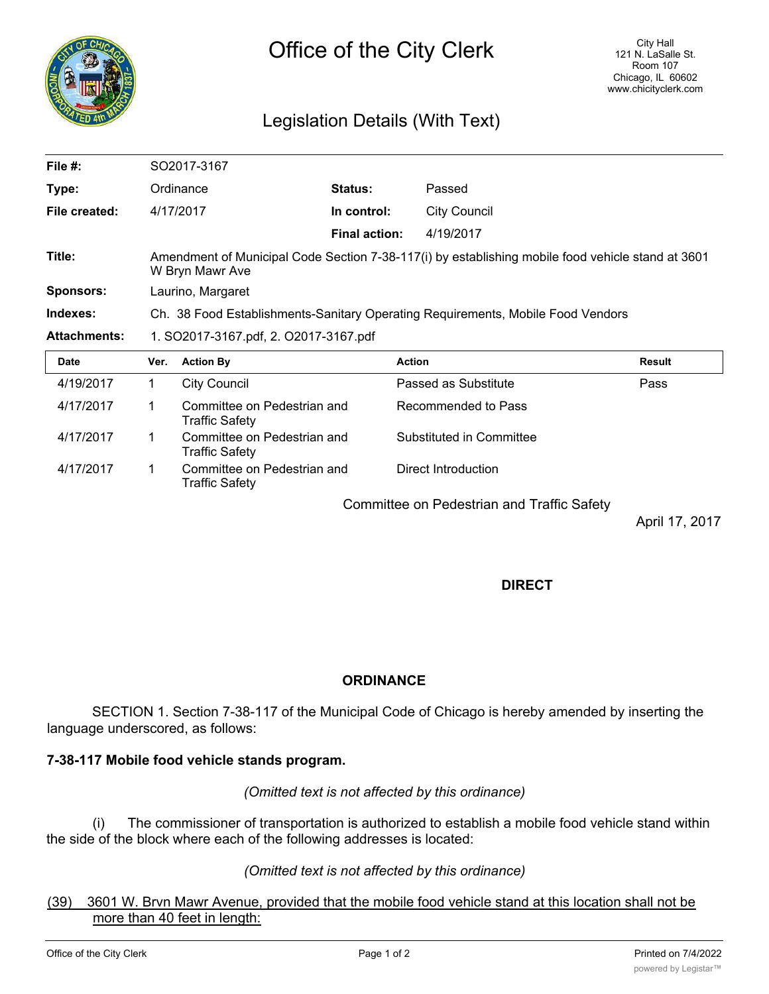

# Legislation Details (With Text)

| File $#$ :          | SO2017-3167                                                                                                          |                                                      |                      |                          |               |
|---------------------|----------------------------------------------------------------------------------------------------------------------|------------------------------------------------------|----------------------|--------------------------|---------------|
| Type:               | Ordinance                                                                                                            |                                                      | <b>Status:</b>       | Passed                   |               |
| File created:       |                                                                                                                      | 4/17/2017                                            | In control:          | <b>City Council</b>      |               |
|                     |                                                                                                                      |                                                      | <b>Final action:</b> | 4/19/2017                |               |
| Title:              | Amendment of Municipal Code Section 7-38-117(i) by establishing mobile food vehicle stand at 3601<br>W Bryn Mawr Ave |                                                      |                      |                          |               |
| <b>Sponsors:</b>    | Laurino, Margaret                                                                                                    |                                                      |                      |                          |               |
| Indexes:            | Ch. 38 Food Establishments-Sanitary Operating Requirements, Mobile Food Vendors                                      |                                                      |                      |                          |               |
| <b>Attachments:</b> | 1. SO2017-3167.pdf, 2. O2017-3167.pdf                                                                                |                                                      |                      |                          |               |
| <b>Date</b>         | Ver.                                                                                                                 | <b>Action By</b>                                     |                      | <b>Action</b>            | <b>Result</b> |
| 4/19/2017           | $\mathbf 1$                                                                                                          | <b>City Council</b>                                  |                      | Passed as Substitute     | Pass          |
| 4/17/2017           | 1                                                                                                                    | Committee on Pedestrian and<br>Traffic Safety        |                      | Recommended to Pass      |               |
| 4/17/2017           | 1.                                                                                                                   | Committee on Pedestrian and<br><b>Traffic Safety</b> |                      | Substituted in Committee |               |
| 4/17/2017           |                                                                                                                      | Committee on Pedestrian and                          |                      | Direct Introduction      |               |

Committee on Pedestrian and Traffic Safety

April 17, 2017

## **DIRECT**

## **ORDINANCE**

SECTION 1. Section 7-38-117 of the Municipal Code of Chicago is hereby amended by inserting the language underscored, as follows:

## **7-38-117 Mobile food vehicle stands program.**

Traffic Safety

*(Omitted text is not affected by this ordinance)*

(i) The commissioner of transportation is authorized to establish a mobile food vehicle stand within the side of the block where each of the following addresses is located:

#### *(Omitted text is not affected by this ordinance)*

#### (39) 3601 W. Brvn Mawr Avenue, provided that the mobile food vehicle stand at this location shall not be more than 40 feet in length: